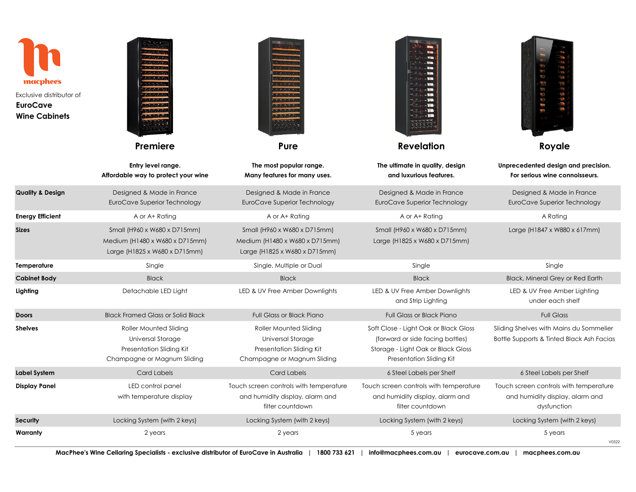| macphee's<br>Exclusive distributor of<br><b>EuroCave</b><br><b>Wine Cabinets</b> |                                                                                                        |                                                                                                               |                                                                                                                                             | <b>RESERVE</b><br>dd I                                                                   |
|----------------------------------------------------------------------------------|--------------------------------------------------------------------------------------------------------|---------------------------------------------------------------------------------------------------------------|---------------------------------------------------------------------------------------------------------------------------------------------|------------------------------------------------------------------------------------------|
|                                                                                  | Premiere                                                                                               | Pure                                                                                                          | <b>Revelation</b>                                                                                                                           | Royale                                                                                   |
|                                                                                  | Entry level range.<br>Affordable way to protect your wine                                              | The most popular range.<br>Many features for many uses.                                                       | The ultimate in quality, design<br>and luxurious features.                                                                                  | Unprecedented design and precision.<br>For serious wine connoisseurs.                    |
| <b>Quality &amp; Design</b>                                                      | Designed & Made in France<br>EuroCave Superior Technology                                              | Designed & Made in France<br>EuroCave Superior Technology                                                     | Designed & Made in France<br>EuroCave Superior Technology                                                                                   | Designed & Made in France<br>EuroCave Superior Technology                                |
| <b>Energy Efficient</b>                                                          | A or A+ Rating                                                                                         | A or A+ Rating                                                                                                | A or A+ Rating                                                                                                                              | A Rating                                                                                 |
| Sizes                                                                            | Small (H960 x W680 x D715mm)<br>Medium (H1480 x W680 x D715mm)<br>Large (H1825 x W680 x D715mm)        | Small (H960 x W680 x D715mm)<br>Medium (H1480 x W680 x D715mm)<br>Large (H1825 x W680 x D715mm)               | Small (H960 x W680 x D715mm)<br>Large (H1825 x W680 x D715mm)                                                                               | Large (H1847 x W880 x 617mm)                                                             |
| Temperature                                                                      | Single                                                                                                 | Single, Multiple or Dual                                                                                      | Single                                                                                                                                      | Single                                                                                   |
| <b>Cabinet Body</b>                                                              | <b>Black</b>                                                                                           | <b>Black</b>                                                                                                  | <b>Black</b>                                                                                                                                | <b>Black, Mineral Grey or Red Earth</b>                                                  |
| Lighting                                                                         | Detachable LED Light                                                                                   | LED & UV Free Amber Downlights                                                                                | LED & UV Free Amber Downlights<br>and Strip Lighting                                                                                        | LED & UV Free Amber Lighting<br>under each shelf                                         |
| Doors                                                                            | <b>Black Framed Glass or Solid Black</b>                                                               | <b>Full Glass or Black Piano</b>                                                                              | <b>Full Glass or Black Piano</b>                                                                                                            | <b>Full Glass</b>                                                                        |
| Shelves                                                                          | Roller Mounted Sliding<br>Universal Storage<br>Presentation Sliding Kit<br>Champagne or Magnum Sliding | <b>Roller Mounted Sliding</b><br>Universal Storage<br>Presentation Sliding Kit<br>Champagne or Magnum Sliding | Soft Close - Light Oak or Black Gloss<br>(forward or side facing bottles)<br>Storage - Light Oak or Black Gloss<br>Presentation Sliding Kit | Sliding Shelves with Mains du Sommelier<br>Bottle Supports & Tinted Black Ash Facias     |
| Label System                                                                     | <b>Card Labels</b>                                                                                     | <b>Card Labels</b>                                                                                            | 6 Steel Labels per Shelf                                                                                                                    | 6 Steel Labels per Shelf                                                                 |
| Display Panel                                                                    | LED control panel<br>with temperature display                                                          | Touch screen controls with temperature<br>and humidity display, alarm and<br>filter countdown                 | Touch screen controls with temperature<br>and humidity display, alarm and<br>filter countdown                                               | Touch screen controls with temperature<br>and humidity display, alarm and<br>dysfunction |
| Security                                                                         | Locking System (with 2 keys)                                                                           | Locking System (with 2 keys)                                                                                  | Locking System (with 2 keys)                                                                                                                | Locking System (with 2 keys)                                                             |
| Warranty                                                                         | 2 years                                                                                                | 2 years                                                                                                       | 5 years                                                                                                                                     | 5 years<br>V0522                                                                         |
|                                                                                  |                                                                                                        |                                                                                                               |                                                                                                                                             |                                                                                          |

 $\sim$ 

п

**CONTRACTOR** 

Æ

**MacPhee's Wine Cellaring Specialists - exclusive distributor of EuroCave in Australia | 1800 733 621 | info@macphees.com.au | eurocave.com.au | macphees.com.au**